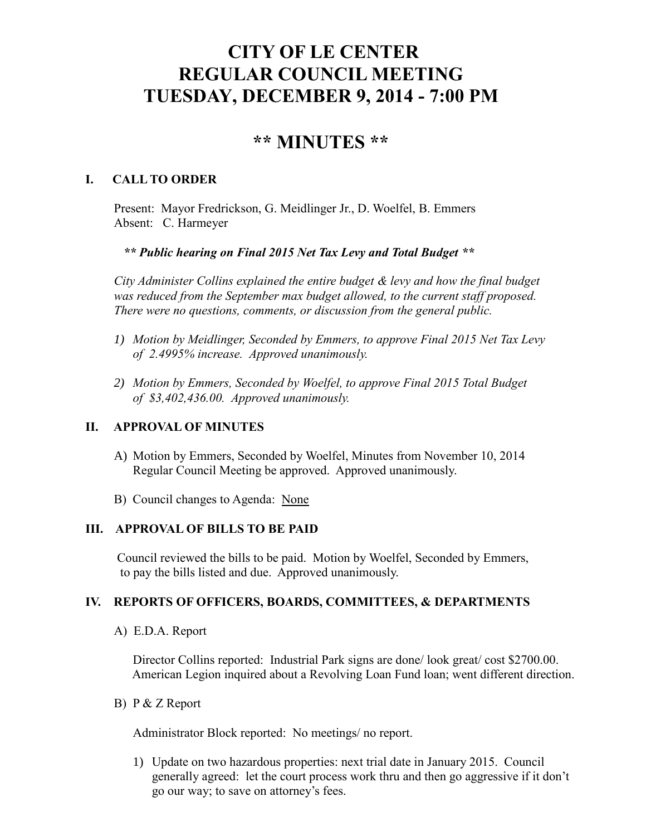# **CITY OF LE CENTER REGULAR COUNCIL MEETING TUESDAY, DECEMBER 9, 2014 - 7:00 PM**

# **\*\* MINUTES \*\***

# **I. CALL TO ORDER**

Present: Mayor Fredrickson, G. Meidlinger Jr., D. Woelfel, B. Emmers Absent: C. Harmeyer

# *\*\* Public hearing on Final 2015 Net Tax Levy and Total Budget \*\**

*City Administer Collins explained the entire budget & levy and how the final budget was reduced from the September max budget allowed, to the current staff proposed. There were no questions, comments, or discussion from the general public.*

- *1) Motion by Meidlinger, Seconded by Emmers, to approve Final 2015 Net Tax Levy of 2.4995% increase. Approved unanimously.*
- *2) Motion by Emmers, Seconded by Woelfel, to approve Final 2015 Total Budget of \$3,402,436.00. Approved unanimously.*

# **II. APPROVAL OF MINUTES**

- A) Motion by Emmers, Seconded by Woelfel, Minutes from November 10, 2014 Regular Council Meeting be approved. Approved unanimously.
- B) Council changes to Agenda: None

# **III. APPROVAL OF BILLS TO BE PAID**

Council reviewed the bills to be paid. Motion by Woelfel, Seconded by Emmers, to pay the bills listed and due. Approved unanimously.

#### **IV. REPORTS OF OFFICERS, BOARDS, COMMITTEES, & DEPARTMENTS**

A) E.D.A. Report

 Director Collins reported: Industrial Park signs are done/ look great/ cost \$2700.00. American Legion inquired about a Revolving Loan Fund loan; went different direction.

B) P & Z Report

Administrator Block reported: No meetings/ no report.

1) Update on two hazardous properties: next trial date in January 2015. Council generally agreed: let the court process work thru and then go aggressive if it don't go our way; to save on attorney's fees.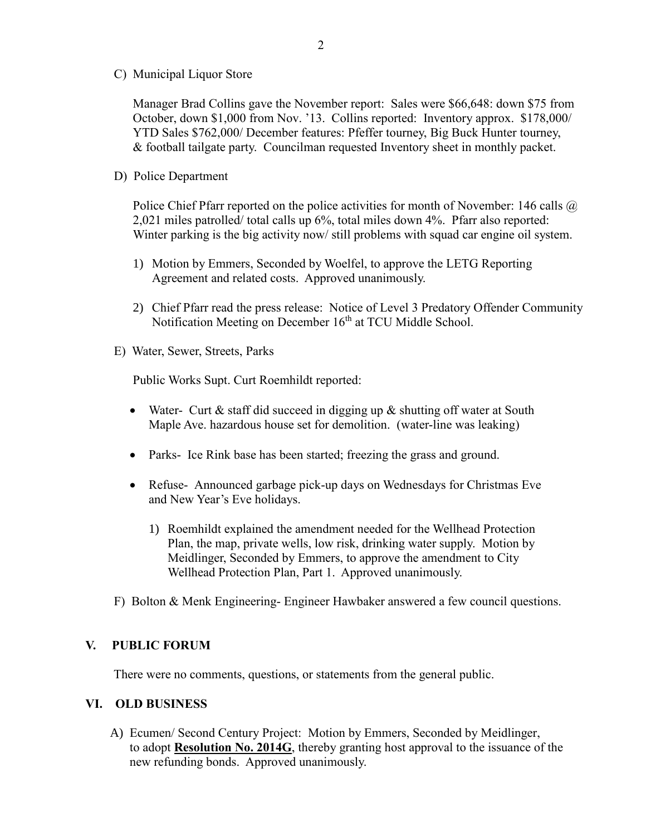C) Municipal Liquor Store

Manager Brad Collins gave the November report: Sales were \$66,648: down \$75 from October, down \$1,000 from Nov. '13. Collins reported: Inventory approx. \$178,000/ YTD Sales \$762,000/ December features: Pfeffer tourney, Big Buck Hunter tourney, & football tailgate party. Councilman requested Inventory sheet in monthly packet.

D) Police Department

Police Chief Pfarr reported on the police activities for month of November: 146 calls  $\omega$ 2,021 miles patrolled/ total calls up 6%, total miles down 4%. Pfarr also reported: Winter parking is the big activity now/ still problems with squad car engine oil system.

- 1) Motion by Emmers, Seconded by Woelfel, to approve the LETG Reporting Agreement and related costs. Approved unanimously.
- 2) Chief Pfarr read the press release: Notice of Level 3 Predatory Offender Community Notification Meeting on December 16<sup>th</sup> at TCU Middle School.
- E) Water, Sewer, Streets, Parks

Public Works Supt. Curt Roemhildt reported:

- Water- Curt & staff did succeed in digging up & shutting off water at South Maple Ave. hazardous house set for demolition. (water-line was leaking)
- Parks- Ice Rink base has been started; freezing the grass and ground.
- Refuse- Announced garbage pick-up days on Wednesdays for Christmas Eve and New Year's Eve holidays.
	- 1) Roemhildt explained the amendment needed for the Wellhead Protection Plan, the map, private wells, low risk, drinking water supply. Motion by Meidlinger, Seconded by Emmers, to approve the amendment to City Wellhead Protection Plan, Part 1. Approved unanimously.
- F) Bolton & Menk Engineering- Engineer Hawbaker answered a few council questions.

#### **V. PUBLIC FORUM**

There were no comments, questions, or statements from the general public.

#### **VI. OLD BUSINESS**

A) Ecumen/ Second Century Project: Motion by Emmers, Seconded by Meidlinger, to adopt **Resolution No. 2014G**, thereby granting host approval to the issuance of the new refunding bonds. Approved unanimously.